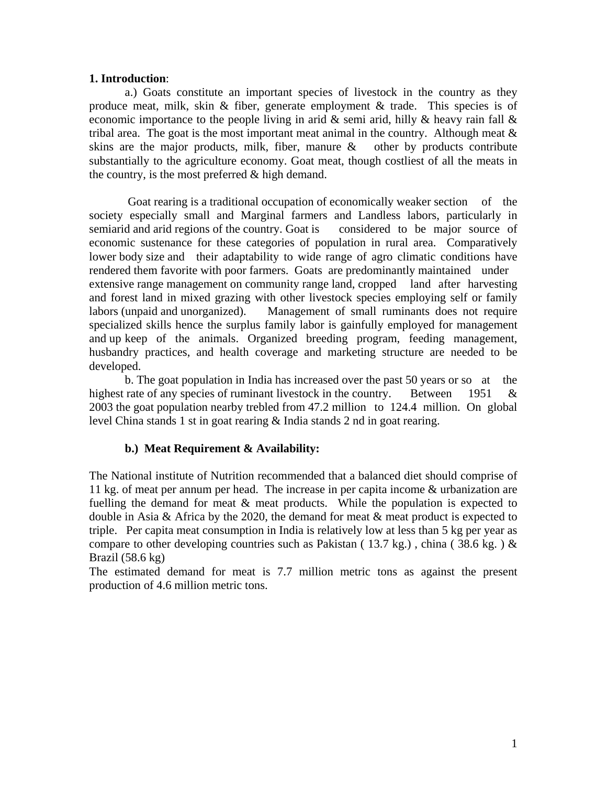#### **1. Introduction**:

 a.) Goats constitute an important species of livestock in the country as they produce meat, milk, skin & fiber, generate employment & trade. This species is of economic importance to the people living in arid  $\&$  semi arid, hilly  $\&$  heavy rain fall  $\&$ tribal area. The goat is the most important meat animal in the country. Although meat  $\&$ skins are the major products, milk, fiber, manure  $\&$  other by products contribute substantially to the agriculture economy. Goat meat, though costliest of all the meats in the country, is the most preferred  $&$  high demand.

 Goat rearing is a traditional occupation of economically weaker section of the society especially small and Marginal farmers and Landless labors, particularly in semiarid and arid regions of the country. Goat is considered to be major source of economic sustenance for these categories of population in rural area. Comparatively lower body size and their adaptability to wide range of agro climatic conditions have rendered them favorite with poor farmers. Goats are predominantly maintained under extensive range management on community range land, cropped land after harvesting and forest land in mixed grazing with other livestock species employing self or family labors (unpaid and unorganized). Management of small ruminants does not require specialized skills hence the surplus family labor is gainfully employed for management and up keep of the animals. Organized breeding program, feeding management, husbandry practices, and health coverage and marketing structure are needed to be developed.

 b. The goat population in India has increased over the past 50 years or so at the highest rate of any species of ruminant livestock in the country. Between 1951 & 2003 the goat population nearby trebled from 47.2 million to 124.4 million. On global level China stands 1 st in goat rearing & India stands 2 nd in goat rearing.

### **b.) Meat Requirement & Availability:**

The National institute of Nutrition recommended that a balanced diet should comprise of 11 kg. of meat per annum per head. The increase in per capita income & urbanization are fuelling the demand for meat & meat products. While the population is expected to double in Asia & Africa by the 2020, the demand for meat & meat product is expected to triple. Per capita meat consumption in India is relatively low at less than 5 kg per year as compare to other developing countries such as Pakistan (13.7 kg.), china (38.6 kg.)  $\&$ Brazil  $(58.6 \text{ kg})$ 

The estimated demand for meat is 7.7 million metric tons as against the present production of 4.6 million metric tons.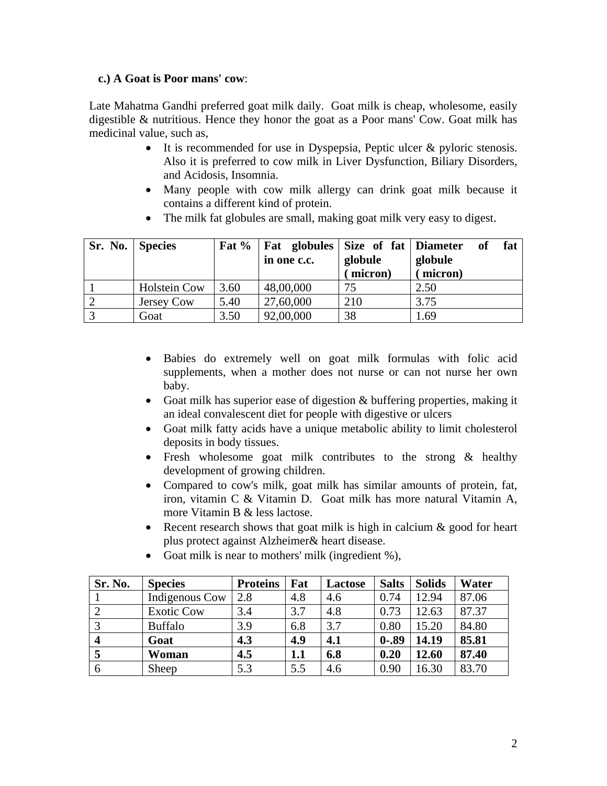### **c.) A Goat is Poor mans' cow**:

Late Mahatma Gandhi preferred goat milk daily. Goat milk is cheap, wholesome, easily digestible & nutritious. Hence they honor the goat as a Poor mans' Cow. Goat milk has medicinal value, such as,

- It is recommended for use in Dyspepsia, Peptic ulcer & pyloric stenosis. Also it is preferred to cow milk in Liver Dysfunction, Biliary Disorders, and Acidosis, Insomnia.
- Many people with cow milk allergy can drink goat milk because it contains a different kind of protein.
- The milk fat globules are small, making goat milk very easy to digest.

| Sr. No.   Species |                     |      | Fat %   Fat globules   Size of fat   Diameter |          | fat<br>of |  |
|-------------------|---------------------|------|-----------------------------------------------|----------|-----------|--|
|                   |                     |      | in one c.c.                                   | globule  | globule   |  |
|                   |                     |      |                                               | (micron) | (micron)  |  |
|                   | <b>Holstein Cow</b> | 3.60 | 48,00,000                                     | 75       | 2.50      |  |
|                   | Jersey Cow          | 5.40 | 27,60,000                                     | 210      | 3.75      |  |
|                   | Goat                | 3.50 | 92,00,000                                     | 38       | 1.69      |  |

- Babies do extremely well on goat milk formulas with folic acid supplements, when a mother does not nurse or can not nurse her own baby.
- Goat milk has superior ease of digestion & buffering properties, making it an ideal convalescent diet for people with digestive or ulcers
- Goat milk fatty acids have a unique metabolic ability to limit cholesterol deposits in body tissues.
- Fresh wholesome goat milk contributes to the strong & healthy development of growing children.
- Compared to cow's milk, goat milk has similar amounts of protein, fat, iron, vitamin C & Vitamin D. Goat milk has more natural Vitamin A, more Vitamin B & less lactose.
- Recent research shows that goat milk is high in calcium & good for heart plus protect against Alzheimer& heart disease.

| Sr. No.          | <b>Species</b>    | <b>Proteins</b> | Fat | Lactose | <b>Salts</b> | <b>Solids</b> | Water |
|------------------|-------------------|-----------------|-----|---------|--------------|---------------|-------|
|                  | Indigenous Cow    | 2.8             | 4.8 | 4.6     | 0.74         | 12.94         | 87.06 |
|                  | <b>Exotic Cow</b> | 3.4             | 3.7 | 4.8     | 0.73         | 12.63         | 87.37 |
| 3                | <b>Buffalo</b>    | 3.9             | 6.8 | 3.7     | 0.80         | 15.20         | 84.80 |
| $\boldsymbol{4}$ | Goat              | 4.3             | 4.9 | 4.1     | $0 - .89$    | 14.19         | 85.81 |
|                  | Woman             | 4.5             | 1.1 | 6.8     | 0.20         | 12.60         | 87.40 |
| 6                | Sheep             | 5.3             | 5.5 | 4.6     | 0.90         | 16.30         | 83.70 |

• Goat milk is near to mothers' milk (ingredient %),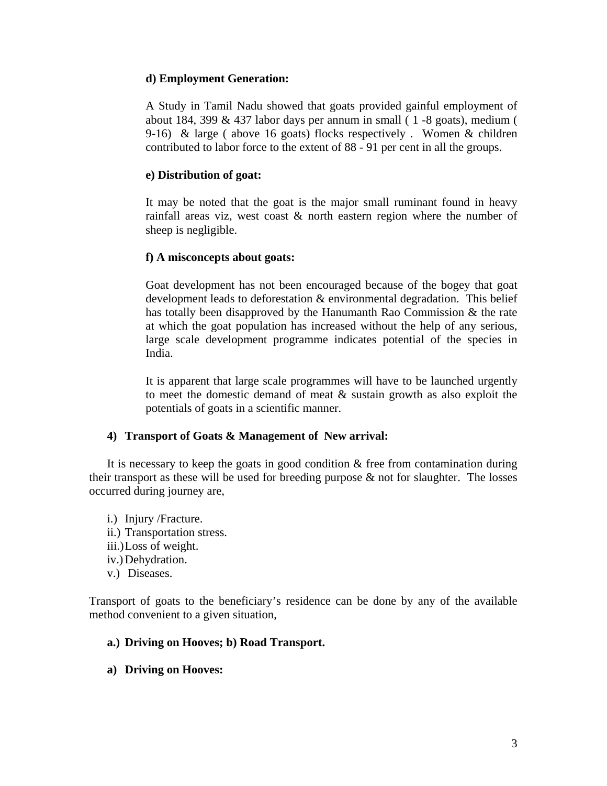### **d) Employment Generation:**

A Study in Tamil Nadu showed that goats provided gainful employment of about 184, 399 & 437 labor days per annum in small ( 1 -8 goats), medium ( 9-16) & large ( above 16 goats) flocks respectively . Women & children contributed to labor force to the extent of 88 - 91 per cent in all the groups.

### **e) Distribution of goat:**

It may be noted that the goat is the major small ruminant found in heavy rainfall areas viz, west coast & north eastern region where the number of sheep is negligible.

### **f) A misconcepts about goats:**

Goat development has not been encouraged because of the bogey that goat development leads to deforestation & environmental degradation. This belief has totally been disapproved by the Hanumanth Rao Commission & the rate at which the goat population has increased without the help of any serious, large scale development programme indicates potential of the species in India.

It is apparent that large scale programmes will have to be launched urgently to meet the domestic demand of meat & sustain growth as also exploit the potentials of goats in a scientific manner.

## **4) Transport of Goats & Management of New arrival:**

It is necessary to keep the goats in good condition  $\&$  free from contamination during their transport as these will be used for breeding purpose  $\&$  not for slaughter. The losses occurred during journey are,

i.) Injury /Fracture. ii.) Transportation stress. iii.)Loss of weight. iv.) Dehydration. v.) Diseases.

Transport of goats to the beneficiary's residence can be done by any of the available method convenient to a given situation,

### **a.) Driving on Hooves; b) Road Transport.**

**a) Driving on Hooves:**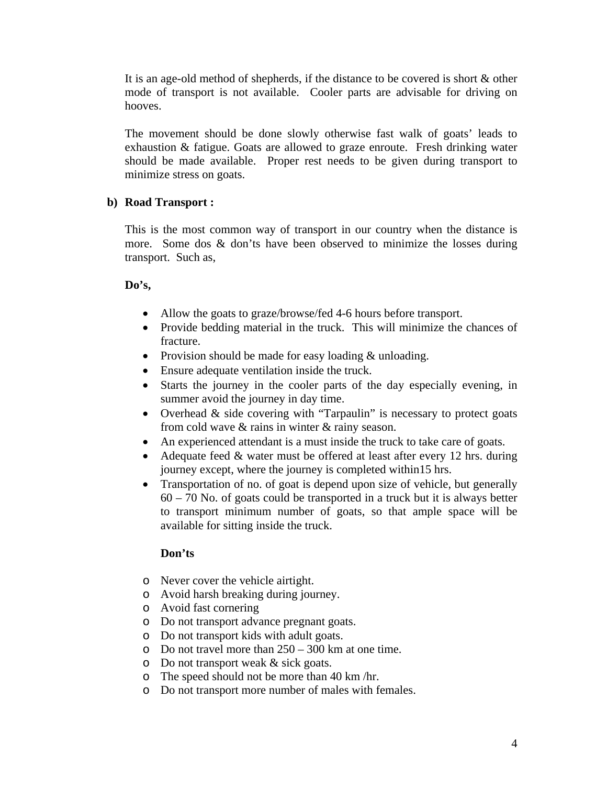It is an age-old method of shepherds, if the distance to be covered is short & other mode of transport is not available. Cooler parts are advisable for driving on hooves.

The movement should be done slowly otherwise fast walk of goats' leads to exhaustion & fatigue. Goats are allowed to graze enroute. Fresh drinking water should be made available. Proper rest needs to be given during transport to minimize stress on goats.

### **b) Road Transport :**

This is the most common way of transport in our country when the distance is more. Some dos & don'ts have been observed to minimize the losses during transport. Such as,

### **Do's,**

- Allow the goats to graze/browse/fed 4-6 hours before transport.
- Provide bedding material in the truck. This will minimize the chances of fracture.
- Provision should be made for easy loading & unloading.
- Ensure adequate ventilation inside the truck.
- Starts the journey in the cooler parts of the day especially evening, in summer avoid the journey in day time.
- Overhead & side covering with "Tarpaulin" is necessary to protect goats from cold wave & rains in winter & rainy season.
- An experienced attendant is a must inside the truck to take care of goats.
- Adequate feed & water must be offered at least after every 12 hrs. during journey except, where the journey is completed within15 hrs.
- Transportation of no. of goat is depend upon size of vehicle, but generally 60 – 70 No. of goats could be transported in a truck but it is always better to transport minimum number of goats, so that ample space will be available for sitting inside the truck.

### **Don'ts**

- o Never cover the vehicle airtight.
- o Avoid harsh breaking during journey.
- o Avoid fast cornering
- o Do not transport advance pregnant goats.
- o Do not transport kids with adult goats.
- $\circ$  Do not travel more than  $250 300$  km at one time.
- o Do not transport weak & sick goats.
- o The speed should not be more than 40 km /hr.
- o Do not transport more number of males with females.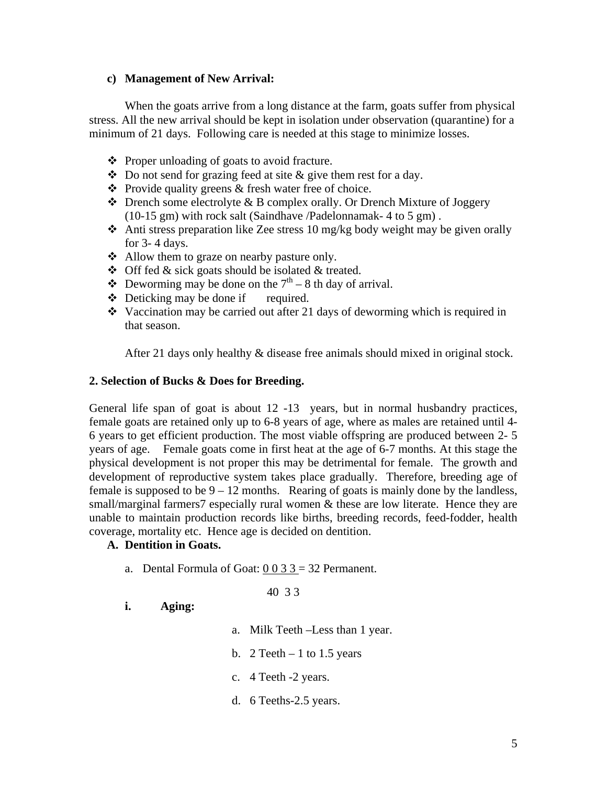### **c) Management of New Arrival:**

 When the goats arrive from a long distance at the farm, goats suffer from physical stress. All the new arrival should be kept in isolation under observation (quarantine) for a minimum of 21 days. Following care is needed at this stage to minimize losses.

- $\triangle$  Proper unloading of goats to avoid fracture.
- $\triangle$  Do not send for grazing feed at site & give them rest for a day.
- $\bullet$  Provide quality greens & fresh water free of choice.
- $\triangle$  Drench some electrolyte & B complex orally. Or Drench Mixture of Joggery (10-15 gm) with rock salt (Saindhave /Padelonnamak- 4 to 5 gm) .
- Anti stress preparation like Zee stress 10 mg/kg body weight may be given orally for 3- 4 days.
- Allow them to graze on nearby pasture only.
- $\triangle$  Off fed & sick goats should be isolated & treated.
- $\bullet$  Deworming may be done on the  $7<sup>th</sup> 8$  th day of arrival.
- $\triangle$  Deticking may be done if required.
- $\cdot$  Vaccination may be carried out after 21 days of deworming which is required in that season.

After 21 days only healthy & disease free animals should mixed in original stock.

### **2. Selection of Bucks & Does for Breeding.**

General life span of goat is about 12 -13 years, but in normal husbandry practices, female goats are retained only up to 6-8 years of age, where as males are retained until 4- 6 years to get efficient production. The most viable offspring are produced between 2- 5 years of age. Female goats come in first heat at the age of 6-7 months. At this stage the physical development is not proper this may be detrimental for female. The growth and development of reproductive system takes place gradually. Therefore, breeding age of female is supposed to be  $9 - 12$  months. Rearing of goats is mainly done by the landless, small/marginal farmers7 especially rural women & these are low literate. Hence they are unable to maintain production records like births, breeding records, feed-fodder, health coverage, mortality etc. Hence age is decided on dentition.

## **A. Dentition in Goats.**

a. Dental Formula of Goat:  $0\ 0\ 3\ 3 = 32$  Permanent.

40 3 3

### **i. Aging:**

- a. Milk Teeth –Less than 1 year.
- b.  $2$  Teeth  $-1$  to 1.5 years
- c. 4 Teeth -2 years.
- d. 6 Teeths-2.5 years.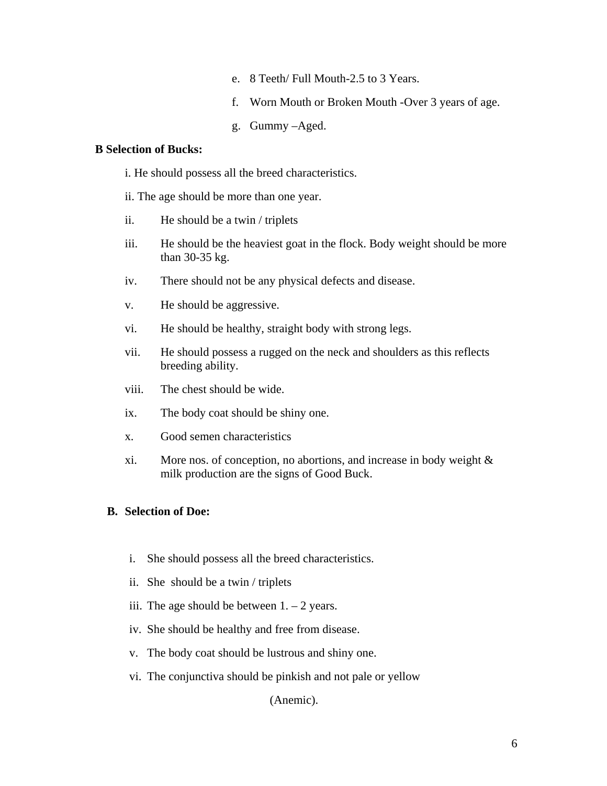- e. 8 Teeth/ Full Mouth-2.5 to 3 Years.
- f. Worn Mouth or Broken Mouth -Over 3 years of age.
- g. Gummy –Aged.

#### **B Selection of Bucks:**

- i. He should possess all the breed characteristics.
- ii. The age should be more than one year.
- ii. He should be a twin / triplets
- iii. He should be the heaviest goat in the flock. Body weight should be more than 30-35 kg.
- iv. There should not be any physical defects and disease.
- v. He should be aggressive.
- vi. He should be healthy, straight body with strong legs.
- vii. He should possess a rugged on the neck and shoulders as this reflects breeding ability.
- viii. The chest should be wide.
- ix. The body coat should be shiny one.
- x. Good semen characteristics
- xi. More nos. of conception, no abortions, and increase in body weight & milk production are the signs of Good Buck.

### **B. Selection of Doe:**

- i. She should possess all the breed characteristics.
- ii. She should be a twin / triplets
- iii. The age should be between  $1 2$  years.
- iv. She should be healthy and free from disease.
- v. The body coat should be lustrous and shiny one.
- vi. The conjunctiva should be pinkish and not pale or yellow

(Anemic).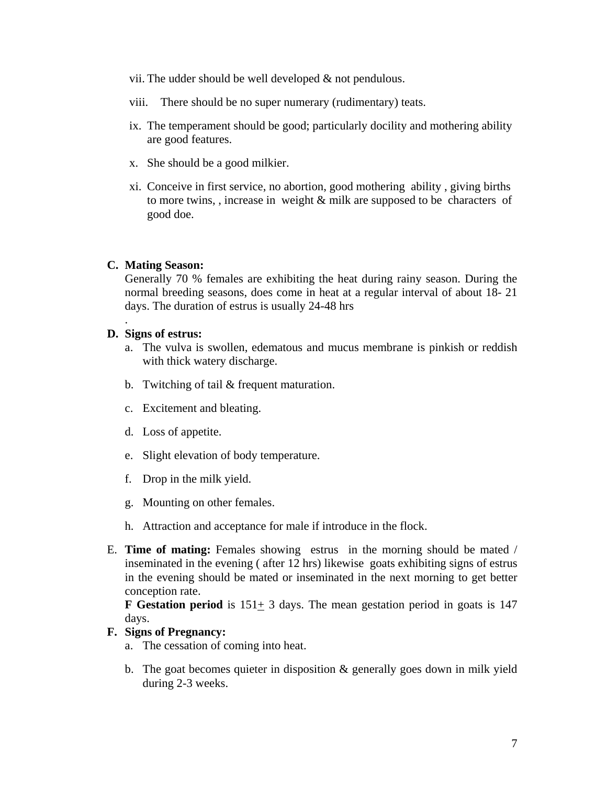- vii. The udder should be well developed & not pendulous.
- viii. There should be no super numerary (rudimentary) teats.
- ix. The temperament should be good; particularly docility and mothering ability are good features.
- x. She should be a good milkier.
- xi. Conceive in first service, no abortion, good mothering ability , giving births to more twins, , increase in weight & milk are supposed to be characters of good doe.

#### **C. Mating Season:**

Generally 70 % females are exhibiting the heat during rainy season. During the normal breeding seasons, does come in heat at a regular interval of about 18- 21 days. The duration of estrus is usually 24-48 hrs

#### **D. Signs of estrus:**

.

- a. The vulva is swollen, edematous and mucus membrane is pinkish or reddish with thick watery discharge.
- b. Twitching of tail & frequent maturation.
- c. Excitement and bleating.
- d. Loss of appetite.
- e. Slight elevation of body temperature.
- f. Drop in the milk yield.
- g. Mounting on other females.
- h. Attraction and acceptance for male if introduce in the flock.
- E. **Time of mating:** Females showing estrus in the morning should be mated / inseminated in the evening ( after 12 hrs) likewise goats exhibiting signs of estrus in the evening should be mated or inseminated in the next morning to get better conception rate.

**F Gestation period** is  $151 \pm 3$  days. The mean gestation period in goats is 147 days.

#### **F. Signs of Pregnancy:**

- a. The cessation of coming into heat.
- b. The goat becomes quieter in disposition  $\&$  generally goes down in milk yield during 2-3 weeks.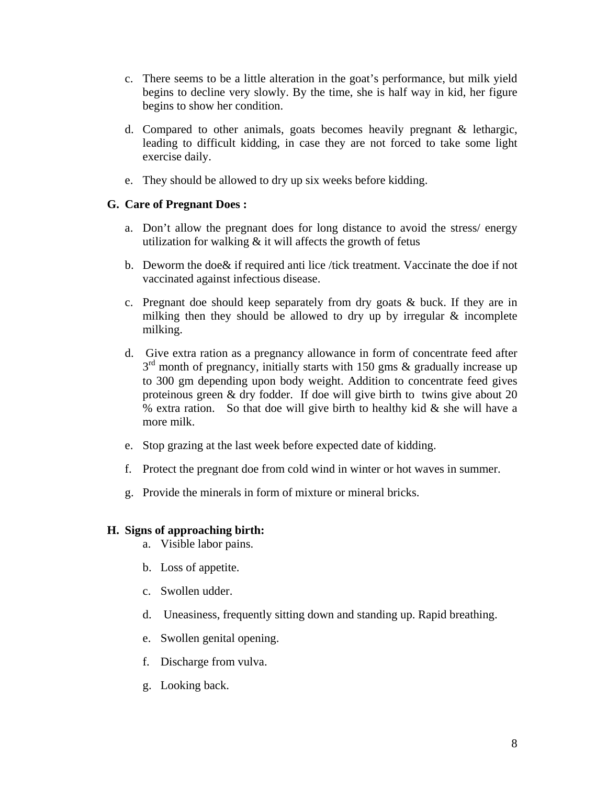- c. There seems to be a little alteration in the goat's performance, but milk yield begins to decline very slowly. By the time, she is half way in kid, her figure begins to show her condition.
- d. Compared to other animals, goats becomes heavily pregnant & lethargic, leading to difficult kidding, in case they are not forced to take some light exercise daily.
- e. They should be allowed to dry up six weeks before kidding.

### **G. Care of Pregnant Does :**

- a. Don't allow the pregnant does for long distance to avoid the stress/ energy utilization for walking  $&$  it will affects the growth of fetus
- b. Deworm the doe& if required anti lice /tick treatment. Vaccinate the doe if not vaccinated against infectious disease.
- c. Pregnant doe should keep separately from dry goats  $\&$  buck. If they are in milking then they should be allowed to dry up by irregular & incomplete milking.
- d. Give extra ration as a pregnancy allowance in form of concentrate feed after  $3<sup>rd</sup>$  month of pregnancy, initially starts with 150 gms & gradually increase up to 300 gm depending upon body weight. Addition to concentrate feed gives proteinous green & dry fodder. If doe will give birth to twins give about 20 % extra ration. So that doe will give birth to healthy kid  $\&$  she will have a more milk.
- e. Stop grazing at the last week before expected date of kidding.
- f. Protect the pregnant doe from cold wind in winter or hot waves in summer.
- g. Provide the minerals in form of mixture or mineral bricks.

### **H. Signs of approaching birth:**

- a. Visible labor pains.
- b. Loss of appetite.
- c. Swollen udder.
- d. Uneasiness, frequently sitting down and standing up. Rapid breathing.
- e. Swollen genital opening.
- f. Discharge from vulva.
- g. Looking back.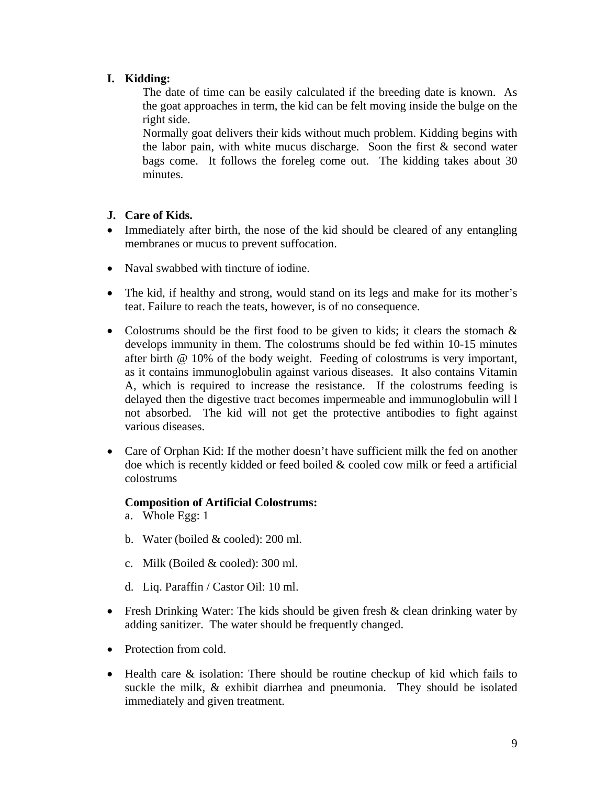# **I. Kidding:**

The date of time can be easily calculated if the breeding date is known. As the goat approaches in term, the kid can be felt moving inside the bulge on the right side.

Normally goat delivers their kids without much problem. Kidding begins with the labor pain, with white mucus discharge. Soon the first & second water bags come. It follows the foreleg come out. The kidding takes about 30 minutes.

## **J. Care of Kids.**

- Immediately after birth, the nose of the kid should be cleared of any entangling membranes or mucus to prevent suffocation.
- Naval swabbed with tincture of iodine.
- The kid, if healthy and strong, would stand on its legs and make for its mother's teat. Failure to reach the teats, however, is of no consequence.
- Colostrums should be the first food to be given to kids; it clears the stomach  $\&$ develops immunity in them. The colostrums should be fed within 10-15 minutes after birth @ 10% of the body weight. Feeding of colostrums is very important, as it contains immunoglobulin against various diseases. It also contains Vitamin A, which is required to increase the resistance. If the colostrums feeding is delayed then the digestive tract becomes impermeable and immunoglobulin will l not absorbed. The kid will not get the protective antibodies to fight against various diseases.
- Care of Orphan Kid: If the mother doesn't have sufficient milk the fed on another doe which is recently kidded or feed boiled & cooled cow milk or feed a artificial colostrums

## **Composition of Artificial Colostrums:**

- a. Whole Egg: 1
- b. Water (boiled & cooled): 200 ml.
- c. Milk (Boiled & cooled): 300 ml.
- d. Liq. Paraffin / Castor Oil: 10 ml.
- Fresh Drinking Water: The kids should be given fresh & clean drinking water by adding sanitizer. The water should be frequently changed.
- Protection from cold.
- Health care & isolation: There should be routine checkup of kid which fails to suckle the milk, & exhibit diarrhea and pneumonia. They should be isolated immediately and given treatment.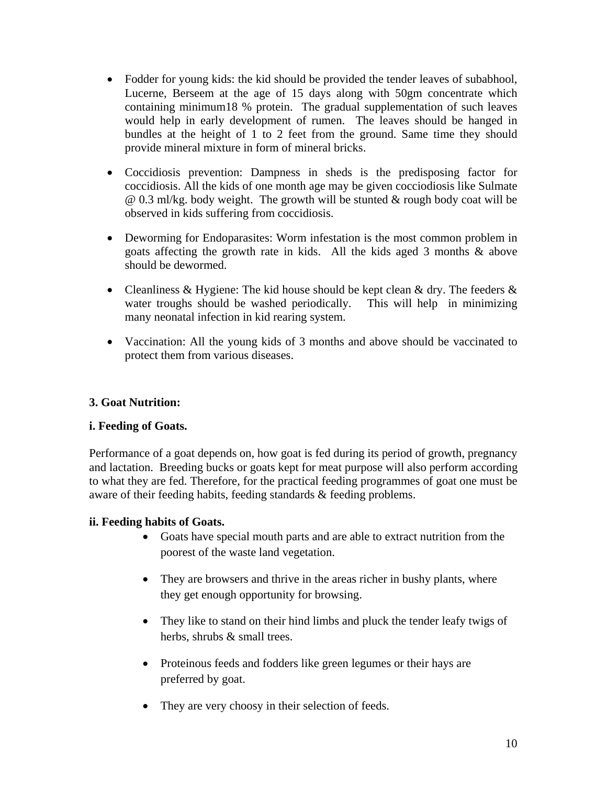- Fodder for young kids: the kid should be provided the tender leaves of subabhool, Lucerne, Berseem at the age of 15 days along with 50gm concentrate which containing minimum18 % protein. The gradual supplementation of such leaves would help in early development of rumen. The leaves should be hanged in bundles at the height of 1 to 2 feet from the ground. Same time they should provide mineral mixture in form of mineral bricks.
- Coccidiosis prevention: Dampness in sheds is the predisposing factor for coccidiosis. All the kids of one month age may be given cocciodiosis like Sulmate @ 0.3 ml/kg. body weight. The growth will be stunted & rough body coat will be observed in kids suffering from coccidiosis.
- Deworming for Endoparasites: Worm infestation is the most common problem in goats affecting the growth rate in kids. All the kids aged 3 months & above should be dewormed.
- Cleanliness  $& Hygiene$ : The kid house should be kept clean  $& dry$ . The feeders  $&$ water troughs should be washed periodically. This will help in minimizing many neonatal infection in kid rearing system.
- Vaccination: All the young kids of 3 months and above should be vaccinated to protect them from various diseases.

## **3. Goat Nutrition:**

## **i. Feeding of Goats.**

Performance of a goat depends on, how goat is fed during its period of growth, pregnancy and lactation. Breeding bucks or goats kept for meat purpose will also perform according to what they are fed. Therefore, for the practical feeding programmes of goat one must be aware of their feeding habits, feeding standards & feeding problems.

## **ii. Feeding habits of Goats.**

- Goats have special mouth parts and are able to extract nutrition from the poorest of the waste land vegetation.
- They are browsers and thrive in the areas richer in bushy plants, where they get enough opportunity for browsing.
- They like to stand on their hind limbs and pluck the tender leafy twigs of herbs, shrubs & small trees.
- Proteinous feeds and fodders like green legumes or their hays are preferred by goat.
- They are very choosy in their selection of feeds.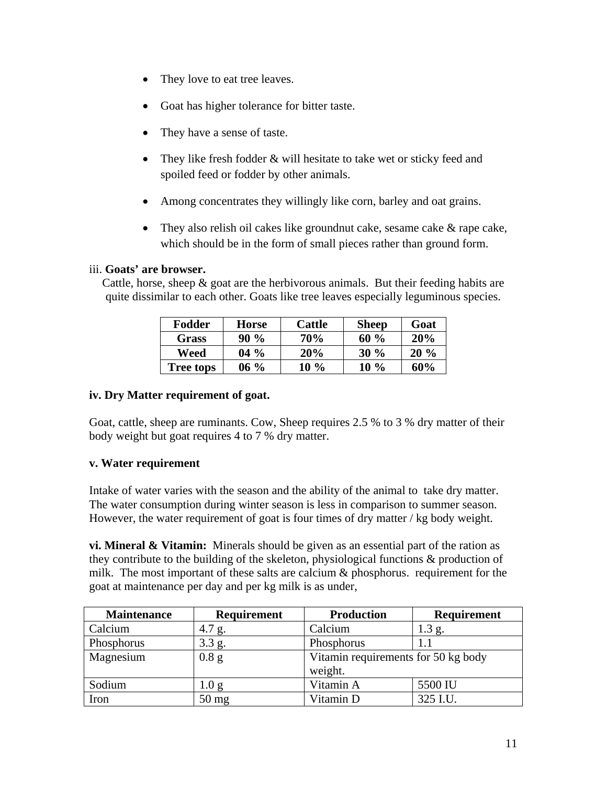- They love to eat tree leaves.
- Goat has higher tolerance for bitter taste.
- They have a sense of taste.
- They like fresh fodder & will hesitate to take wet or sticky feed and spoiled feed or fodder by other animals.
- Among concentrates they willingly like corn, barley and oat grains.
- They also relish oil cakes like groundnut cake, sesame cake & rape cake, which should be in the form of small pieces rather than ground form.

### iii. **Goats' are browser.**

Cattle, horse, sheep  $\&$  goat are the herbivorous animals. But their feeding habits are quite dissimilar to each other. Goats like tree leaves especially leguminous species.

| Fodder       | Horse  | Cattle | <b>Sheep</b> | Goat   |
|--------------|--------|--------|--------------|--------|
| <b>Grass</b> | $90\%$ | 70%    | $60\%$       | 20%    |
| Weed         | $04\%$ | 20%    | $30\%$       | $20\%$ |
| Tree tops    | $06\%$ | $10\%$ | $10\%$       | 60%    |

### **iv. Dry Matter requirement of goat.**

Goat, cattle, sheep are ruminants. Cow, Sheep requires 2.5 % to 3 % dry matter of their body weight but goat requires 4 to 7 % dry matter.

## **v. Water requirement**

Intake of water varies with the season and the ability of the animal to take dry matter. The water consumption during winter season is less in comparison to summer season. However, the water requirement of goat is four times of dry matter / kg body weight.

**vi. Mineral & Vitamin:** Minerals should be given as an essential part of the ration as they contribute to the building of the skeleton, physiological functions & production of milk. The most important of these salts are calcium  $\&$  phosphorus. requirement for the goat at maintenance per day and per kg milk is as under,

| <b>Maintenance</b> | <b>Requirement</b> | <b>Production</b>                   | <b>Requirement</b> |  |
|--------------------|--------------------|-------------------------------------|--------------------|--|
| Calcium            | 4.7 g.             | Calcium                             | $1.3$ g.           |  |
| Phosphorus         | 3.3 g.             | Phosphorus                          |                    |  |
| Magnesium          | 0.8 g              | Vitamin requirements for 50 kg body |                    |  |
|                    |                    | weight.                             |                    |  |
| Sodium             | 1.0 g              | Vitamin A                           | 5500 IU            |  |
| Iron               | $50$ mg            | Vitamin D                           | 325 I.U.           |  |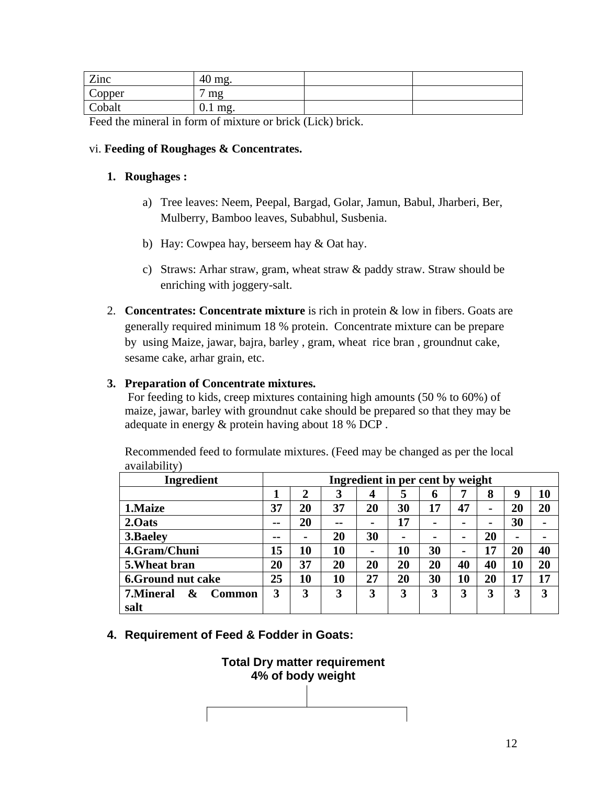| Zinc   | 40<br>mg. |  |
|--------|-----------|--|
| Copper | mg        |  |
| Cobalt | $0.1$ mg. |  |

Feed the mineral in form of mixture or brick (Lick) brick.

### vi. **Feeding of Roughages & Concentrates.**

### **1. Roughages :**

- a) Tree leaves: Neem, Peepal, Bargad, Golar, Jamun, Babul, Jharberi, Ber, Mulberry, Bamboo leaves, Subabhul, Susbenia.
- b) Hay: Cowpea hay, berseem hay & Oat hay.
- c) Straws: Arhar straw, gram, wheat straw & paddy straw. Straw should be enriching with joggery-salt.
- 2. **Concentrates: Concentrate mixture** is rich in protein & low in fibers. Goats are generally required minimum 18 % protein. Concentrate mixture can be prepare by using Maize, jawar, bajra, barley , gram, wheat rice bran , groundnut cake, sesame cake, arhar grain, etc.

## **3. Preparation of Concentrate mixtures.**

 For feeding to kids, creep mixtures containing high amounts (50 % to 60%) of maize, jawar, barley with groundnut cake should be prepared so that they may be adequate in energy & protein having about 18 % DCP .

| <b>Ingredient</b><br>Ingredient in per cent by weight |               |                |       |                |                |    |                |                |                |                |
|-------------------------------------------------------|---------------|----------------|-------|----------------|----------------|----|----------------|----------------|----------------|----------------|
|                                                       |               | 2              | 3     | 4              | 5              | 6  | 7              | 8              | 9              | 10             |
| 1. Maize                                              | 37            | 20             | 37    | 20             | 30             | 17 | 47             | $\blacksquare$ | 20             | 20             |
| 2.0ats                                                | $\sim$ $\sim$ | 20             | $- -$ | $\blacksquare$ | 17             |    | $\blacksquare$ |                | 30             | $\blacksquare$ |
| 3. Baeley                                             | $- -$         | $\blacksquare$ | 20    | 30             | $\blacksquare$ |    | $\blacksquare$ | 20             | $\blacksquare$ |                |
| 4.Gram/Chuni                                          | 15            | 10             | 10    | $\blacksquare$ | 10             | 30 | $\blacksquare$ | 17             | 20             | 40             |
| 5. Wheat bran                                         | 20            | 37             | 20    | 20             | 20             | 20 | 40             | 40             | 10             | 20             |
| <b>6.Ground nut cake</b>                              | 25            | 10             | 10    | 27             | 20             | 30 | 10             | 20             | 17             | 17             |
| 7. Mineral<br>&<br><b>Common</b>                      | 3             | 3              | 3     | 3              | 3              | 3  | 3              | 3              | 3              | 3              |
| salt                                                  |               |                |       |                |                |    |                |                |                |                |

Recommended feed to formulate mixtures. (Feed may be changed as per the local availability)

**4. Requirement of Feed & Fodder in Goats:** 

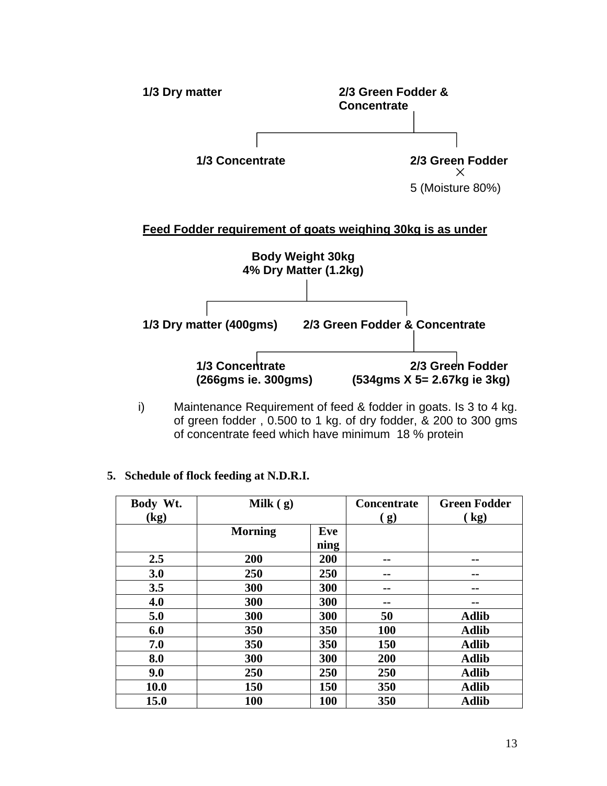

i) Maintenance Requirement of feed & fodder in goats. Is 3 to 4 kg. of green fodder , 0.500 to 1 kg. of dry fodder, & 200 to 300 gms of concentrate feed which have minimum 18 % protein

## **5. Schedule of flock feeding at N.D.R.I.**

| Body Wt.<br>(kg) | Milk $(g)$     |             |            | <b>Green Fodder</b><br>(kg) |
|------------------|----------------|-------------|------------|-----------------------------|
|                  | <b>Morning</b> | Eve<br>ning | (g)        |                             |
| 2.5              | 200            | 200         |            | --                          |
| 3.0              | 250            | 250         | --         | --                          |
| 3.5              | 300            | 300         | --         | --                          |
| 4.0              | 300            | 300         | --         | --                          |
| 5.0              | 300            | 300         | 50         | <b>Adlib</b>                |
| 6.0              | 350            | 350         | <b>100</b> | <b>Adlib</b>                |
| 7.0              | 350            | 350         | 150        | <b>Adlib</b>                |
| 8.0              | 300            | 300         | 200        | <b>Adlib</b>                |
| 9.0              | 250            | 250         | 250        | <b>Adlib</b>                |
| <b>10.0</b>      | 150            | 150         | 350        | <b>Adlib</b>                |
| <b>15.0</b>      | 100            | <b>100</b>  | 350        | <b>Adlib</b>                |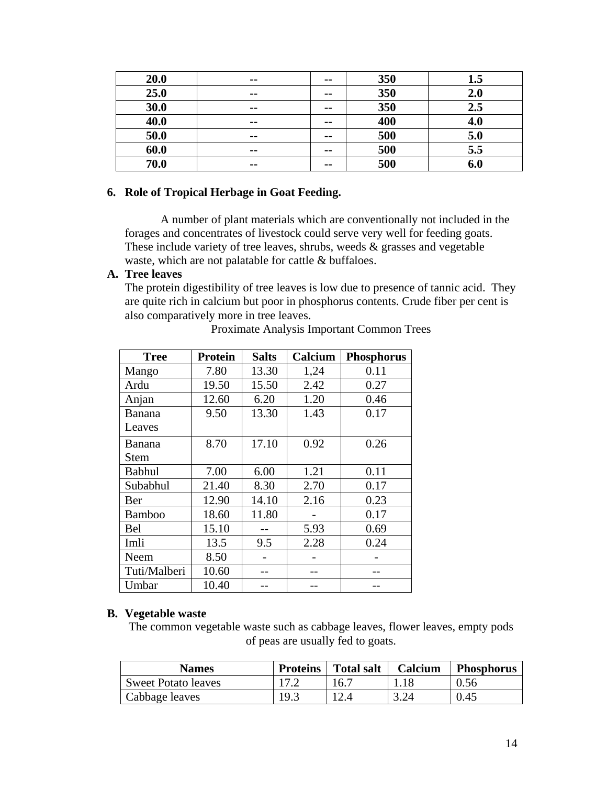| 20.0 | $- -$         | $\sim$ $\sim$  | 350 | 1.5 |
|------|---------------|----------------|-----|-----|
| 25.0 | $\sim$ $\sim$ | $\sim$ $\sim$  | 350 | 2.0 |
| 30.0 | $- -$         | $\blacksquare$ | 350 | 2.5 |
| 40.0 | $\sim$ $\sim$ | $\sim$ $\sim$  | 400 | 4.0 |
| 50.0 | $\sim$ $\sim$ | $\sim$         | 500 | 5.0 |
| 60.0 | $- -$         | $\blacksquare$ | 500 | 5.5 |
| 70.0 | $- -$         | $- -$          | 500 | 6.0 |

### **6. Role of Tropical Herbage in Goat Feeding.**

 A number of plant materials which are conventionally not included in the forages and concentrates of livestock could serve very well for feeding goats. These include variety of tree leaves, shrubs, weeds  $\&$  grasses and vegetable waste, which are not palatable for cattle & buffaloes.

#### **A. Tree leaves**

The protein digestibility of tree leaves is low due to presence of tannic acid. They are quite rich in calcium but poor in phosphorus contents. Crude fiber per cent is also comparatively more in tree leaves.

| <b>Tree</b>   | <b>Protein</b> | <b>Salts</b> | Calcium | <b>Phosphorus</b> |
|---------------|----------------|--------------|---------|-------------------|
| Mango         | 7.80           | 13.30        | 1,24    | 0.11              |
| Ardu          | 19.50          | 15.50        | 2.42    | 0.27              |
| Anjan         | 12.60          | 6.20         | 1.20    | 0.46              |
| Banana        | 9.50           | 13.30        | 1.43    | 0.17              |
| Leaves        |                |              |         |                   |
| Banana        | 8.70           | 17.10        | 0.92    | 0.26              |
| Stem          |                |              |         |                   |
| <b>Babhul</b> | 7.00           | 6.00         | 1.21    | 0.11              |
| Subabhul      | 21.40          | 8.30         | 2.70    | 0.17              |
| Ber           | 12.90          | 14.10        | 2.16    | 0.23              |
| Bamboo        | 18.60          | 11.80        |         | 0.17              |
| Bel           | 15.10          |              | 5.93    | 0.69              |
| Imli          | 13.5           | 9.5          | 2.28    | 0.24              |
| Neem          | 8.50           |              |         |                   |
| Tuti/Malberi  | 10.60          |              |         |                   |
| Umbar         | 10.40          |              |         |                   |

Proximate Analysis Important Common Trees

#### **B. Vegetable waste**

The common vegetable waste such as cabbage leaves, flower leaves, empty pods of peas are usually fed to goats.

| <b>Names</b>               | <b>Proteins</b> | <b>Total salt</b> | Calcium | <b>Phosphorus</b> |
|----------------------------|-----------------|-------------------|---------|-------------------|
| <b>Sweet Potato leaves</b> |                 | 16.7              |         | 0.56              |
| Cabbage leaves             | 19.3            |                   |         | 0.45              |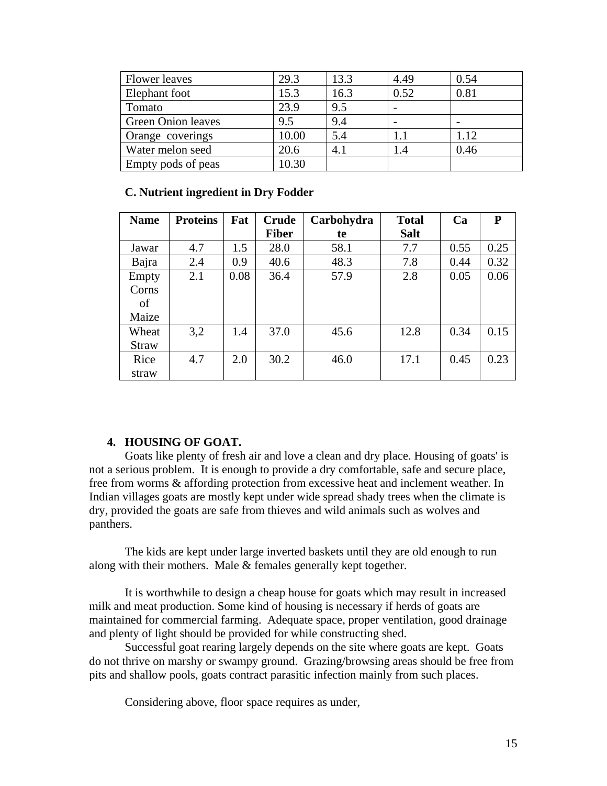| <b>Flower</b> leaves      | 29.3  | 13.3 | 4.49    | 0.54 |
|---------------------------|-------|------|---------|------|
| Elephant foot             | 15.3  | 16.3 | 0.52    | 0.81 |
| Tomato                    | 23.9  | 9.5  |         |      |
| <b>Green Onion leaves</b> | 9.5   | 9.4  |         |      |
| Orange coverings          | 10.00 | 5.4  | $1.1\,$ | 1.12 |
| Water melon seed          | 20.6  | 4.1  | 1.4     | 0.46 |
| Empty pods of peas        | 10.30 |      |         |      |

### **C. Nutrient ingredient in Dry Fodder**

| <b>Name</b>  | <b>Proteins</b> | Fat  | <b>Crude</b> | Carbohydra | <b>Total</b> | Ca   | ${\bf P}$ |
|--------------|-----------------|------|--------------|------------|--------------|------|-----------|
|              |                 |      | <b>Fiber</b> | te         | <b>Salt</b>  |      |           |
| Jawar        | 4.7             | 1.5  | 28.0         | 58.1       | 7.7          | 0.55 | 0.25      |
| Bajra        | 2.4             | 0.9  | 40.6         | 48.3       | 7.8          | 0.44 | 0.32      |
| Empty        | 2.1             | 0.08 | 36.4         | 57.9       | 2.8          | 0.05 | 0.06      |
| Corns        |                 |      |              |            |              |      |           |
| of           |                 |      |              |            |              |      |           |
| Maize        |                 |      |              |            |              |      |           |
| Wheat        | 3,2             | 1.4  | 37.0         | 45.6       | 12.8         | 0.34 | 0.15      |
| <b>Straw</b> |                 |      |              |            |              |      |           |
| Rice         | 4.7             | 2.0  | 30.2         | 46.0       | 17.1         | 0.45 | 0.23      |
| straw        |                 |      |              |            |              |      |           |

## **4. HOUSING OF GOAT.**

 Goats like plenty of fresh air and love a clean and dry place. Housing of goats' is not a serious problem. It is enough to provide a dry comfortable, safe and secure place, free from worms & affording protection from excessive heat and inclement weather. In Indian villages goats are mostly kept under wide spread shady trees when the climate is dry, provided the goats are safe from thieves and wild animals such as wolves and panthers.

 The kids are kept under large inverted baskets until they are old enough to run along with their mothers. Male & females generally kept together.

 It is worthwhile to design a cheap house for goats which may result in increased milk and meat production. Some kind of housing is necessary if herds of goats are maintained for commercial farming. Adequate space, proper ventilation, good drainage and plenty of light should be provided for while constructing shed.

 Successful goat rearing largely depends on the site where goats are kept. Goats do not thrive on marshy or swampy ground. Grazing/browsing areas should be free from pits and shallow pools, goats contract parasitic infection mainly from such places.

Considering above, floor space requires as under,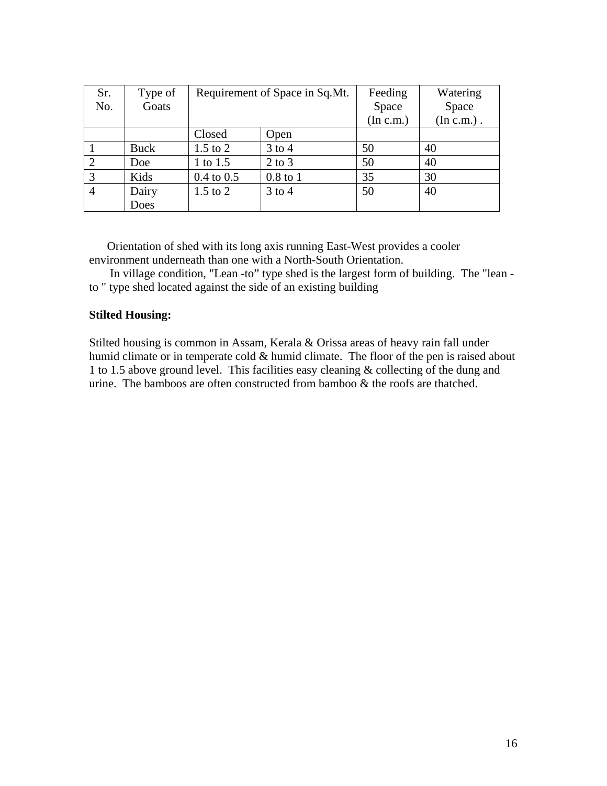| Sr.            | Type of     | Requirement of Space in Sq.Mt. |            | Feeding   | Watering      |
|----------------|-------------|--------------------------------|------------|-----------|---------------|
| No.            | Goats       |                                |            | Space     | Space         |
|                |             |                                |            | (In c.m.) | $(In c.m.)$ . |
|                |             | Closed                         | Open       |           |               |
|                | <b>Buck</b> | $1.5$ to $2$                   | $3$ to 4   | 50        | 40            |
| 2              | Doe         | 1 to 1.5                       | $2$ to $3$ | 50        | 40            |
| 3              | Kids        | $0.4 \text{ to } 0.5$          | $0.8$ to 1 | 35        | 30            |
| $\overline{4}$ | Dairy       | $1.5$ to $2$                   | $3$ to 4   | 50        | 40            |
|                | Does        |                                |            |           |               |

Orientation of shed with its long axis running East-West provides a cooler environment underneath than one with a North-South Orientation.

 In village condition, "Lean -to" type shed is the largest form of building. The "lean to " type shed located against the side of an existing building

#### **Stilted Housing:**

Stilted housing is common in Assam, Kerala & Orissa areas of heavy rain fall under humid climate or in temperate cold & humid climate. The floor of the pen is raised about 1 to 1.5 above ground level. This facilities easy cleaning & collecting of the dung and urine. The bamboos are often constructed from bamboo  $\&$  the roofs are thatched.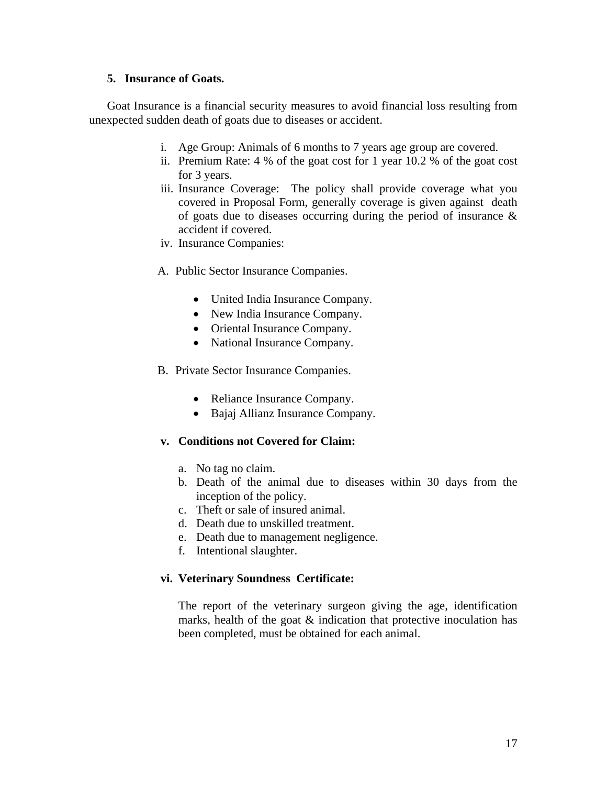#### **5. Insurance of Goats.**

Goat Insurance is a financial security measures to avoid financial loss resulting from unexpected sudden death of goats due to diseases or accident.

- i. Age Group: Animals of 6 months to 7 years age group are covered.
- ii. Premium Rate: 4 % of the goat cost for 1 year 10.2 % of the goat cost for 3 years.
- iii. Insurance Coverage: The policy shall provide coverage what you covered in Proposal Form, generally coverage is given against death of goats due to diseases occurring during the period of insurance & accident if covered.
- iv. Insurance Companies:
- A. Public Sector Insurance Companies.
	- United India Insurance Company.
	- New India Insurance Company.
	- Oriental Insurance Company.
	- National Insurance Company.
- B. Private Sector Insurance Companies.
	- Reliance Insurance Company.
	- Bajaj Allianz Insurance Company.

### **v. Conditions not Covered for Claim:**

- a. No tag no claim.
- b. Death of the animal due to diseases within 30 days from the inception of the policy.
- c. Theft or sale of insured animal.
- d. Death due to unskilled treatment.
- e. Death due to management negligence.
- f. Intentional slaughter.

### **vi. Veterinary Soundness Certificate:**

The report of the veterinary surgeon giving the age, identification marks, health of the goat & indication that protective inoculation has been completed, must be obtained for each animal.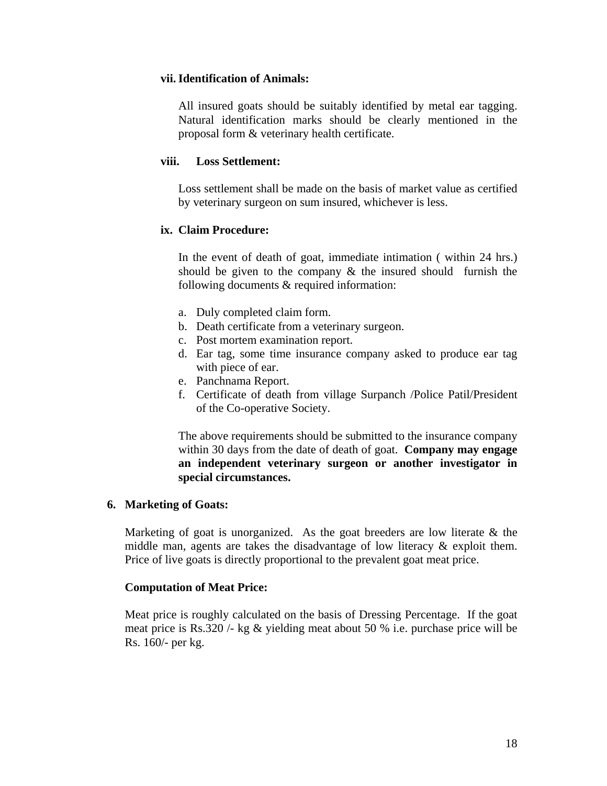#### **vii.Identification of Animals:**

All insured goats should be suitably identified by metal ear tagging. Natural identification marks should be clearly mentioned in the proposal form & veterinary health certificate.

#### **viii. Loss Settlement:**

Loss settlement shall be made on the basis of market value as certified by veterinary surgeon on sum insured, whichever is less.

### **ix. Claim Procedure:**

In the event of death of goat, immediate intimation ( within 24 hrs.) should be given to the company & the insured should furnish the following documents & required information:

- a. Duly completed claim form.
- b. Death certificate from a veterinary surgeon.
- c. Post mortem examination report.
- d. Ear tag, some time insurance company asked to produce ear tag with piece of ear.
- e. Panchnama Report.
- f. Certificate of death from village Surpanch /Police Patil/President of the Co-operative Society.

The above requirements should be submitted to the insurance company within 30 days from the date of death of goat. **Company may engage an independent veterinary surgeon or another investigator in special circumstances.** 

### **6. Marketing of Goats:**

Marketing of goat is unorganized. As the goat breeders are low literate  $\&$  the middle man, agents are takes the disadvantage of low literacy & exploit them. Price of live goats is directly proportional to the prevalent goat meat price.

### **Computation of Meat Price:**

Meat price is roughly calculated on the basis of Dressing Percentage. If the goat meat price is Rs.320 /- kg & yielding meat about 50 % i.e. purchase price will be Rs. 160/- per kg.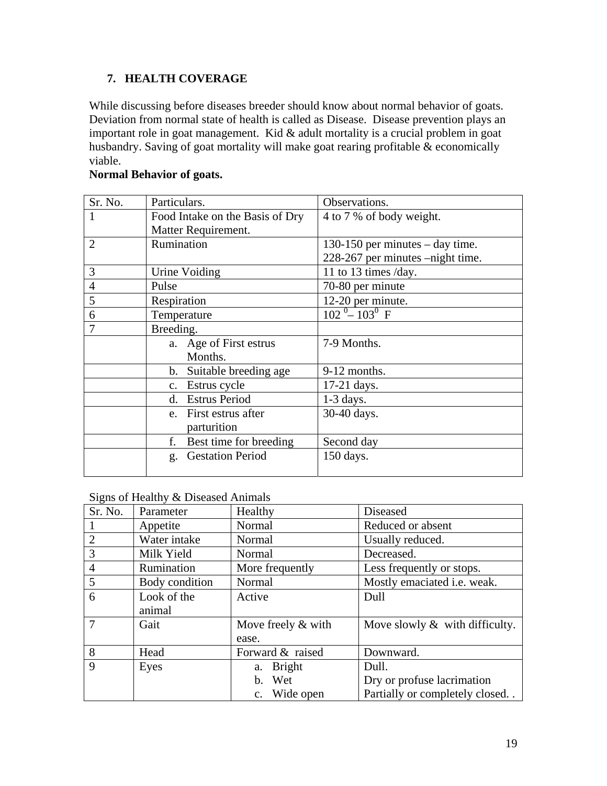# **7. HEALTH COVERAGE**

While discussing before diseases breeder should know about normal behavior of goats. Deviation from normal state of health is called as Disease. Disease prevention plays an important role in goat management. Kid & adult mortality is a crucial problem in goat husbandry. Saving of goat mortality will make goat rearing profitable & economically viable.

### **Normal Behavior of goats.**

| Sr. No.        | Particulars.                         | Observations.                     |
|----------------|--------------------------------------|-----------------------------------|
|                | Food Intake on the Basis of Dry      | 4 to 7 % of body weight.          |
|                | Matter Requirement.                  |                                   |
| $\overline{2}$ | Rumination                           | 130-150 per minutes $-$ day time. |
|                |                                      | 228-267 per minutes -night time.  |
| 3              | Urine Voiding                        | 11 to 13 times /day.              |
| $\overline{4}$ | Pulse                                | 70-80 per minute                  |
| 5              | Respiration                          | 12-20 per minute.                 |
| 6              | Temperature                          | $102^{0} - 103^{0}$ F             |
|                | Breeding.                            |                                   |
|                | a. Age of First estrus<br>Months.    | 7-9 Months.                       |
|                | b. Suitable breeding age             | 9-12 months.                      |
|                | c. Estrus cycle                      | $17-21$ days.                     |
|                | d. Estrus Period                     | $1-3$ days.                       |
|                | e. First estrus after<br>parturition | 30-40 days.                       |
|                | f. Best time for breeding            | Second day                        |
|                | g. Gestation Period                  | $150 \text{ days}.$               |

### Signs of Healthy & Diseased Animals

| ັ              |                       |                               |                                   |
|----------------|-----------------------|-------------------------------|-----------------------------------|
| Sr. No.        | Parameter             | Healthy                       | <b>Diseased</b>                   |
|                | Appetite              | Normal                        | Reduced or absent                 |
| $\overline{2}$ | Water intake          | Normal                        | Usually reduced.                  |
| 3              | Milk Yield            | Normal                        | Decreased.                        |
| $\overline{4}$ | Rumination            | More frequently               | Less frequently or stops.         |
| 5              | Body condition        | Normal                        | Mostly emaciated i.e. weak.       |
| 6              | Look of the<br>animal | Active                        | Dull                              |
| $\tau$         | Gait                  | Move freely $&$ with<br>ease. | Move slowly $\&$ with difficulty. |
| 8              | Head                  | Forward & raised              | Downward.                         |
| 9              | Eyes                  | a. Bright                     | Dull.                             |
|                |                       | b. Wet                        | Dry or profuse lacrimation        |
|                |                       | c. Wide open                  | Partially or completely closed    |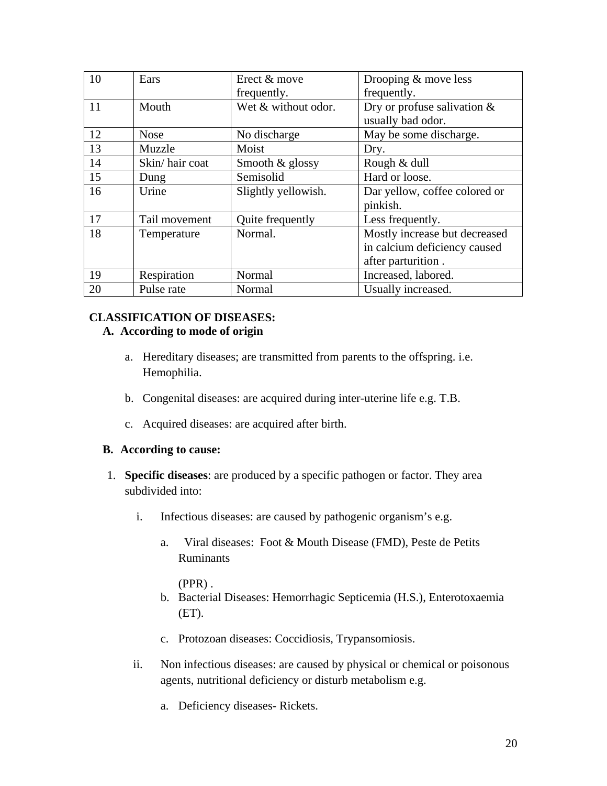| 10 | Ears           | Erect & move        | Drooping $&$ move less         |
|----|----------------|---------------------|--------------------------------|
|    |                | frequently.         | frequently.                    |
| 11 | Mouth          | Wet & without odor. | Dry or profuse salivation $\&$ |
|    |                |                     | usually bad odor.              |
| 12 | <b>Nose</b>    | No discharge        | May be some discharge.         |
| 13 | Muzzle         | Moist               | Dry.                           |
| 14 | Skin/hair coat | Smooth $&$ glossy   | Rough & dull                   |
| 15 | Dung           | Semisolid           | Hard or loose.                 |
| 16 | Urine          | Slightly yellowish. | Dar yellow, coffee colored or  |
|    |                |                     | pinkish.                       |
| 17 | Tail movement  | Quite frequently    | Less frequently.               |
| 18 | Temperature    | Normal.             | Mostly increase but decreased  |
|    |                |                     | in calcium deficiency caused   |
|    |                |                     | after parturition.             |
| 19 | Respiration    | Normal              | Increased, labored.            |
| 20 | Pulse rate     | Normal              | Usually increased.             |

# **CLASSIFICATION OF DISEASES:**

### **A. According to mode of origin**

- a. Hereditary diseases; are transmitted from parents to the offspring. i.e. Hemophilia.
- b. Congenital diseases: are acquired during inter-uterine life e.g. T.B.
- c. Acquired diseases: are acquired after birth.

### **B. According to cause:**

- 1. **Specific diseases**: are produced by a specific pathogen or factor. They area subdivided into:
	- i. Infectious diseases: are caused by pathogenic organism's e.g.
		- a. Viral diseases: Foot & Mouth Disease (FMD), Peste de Petits Ruminants

(PPR) .

- b. Bacterial Diseases: Hemorrhagic Septicemia (H.S.), Enterotoxaemia  $E$ T).
- c. Protozoan diseases: Coccidiosis, Trypansomiosis.
- ii. Non infectious diseases: are caused by physical or chemical or poisonous agents, nutritional deficiency or disturb metabolism e.g.
	- a. Deficiency diseases- Rickets.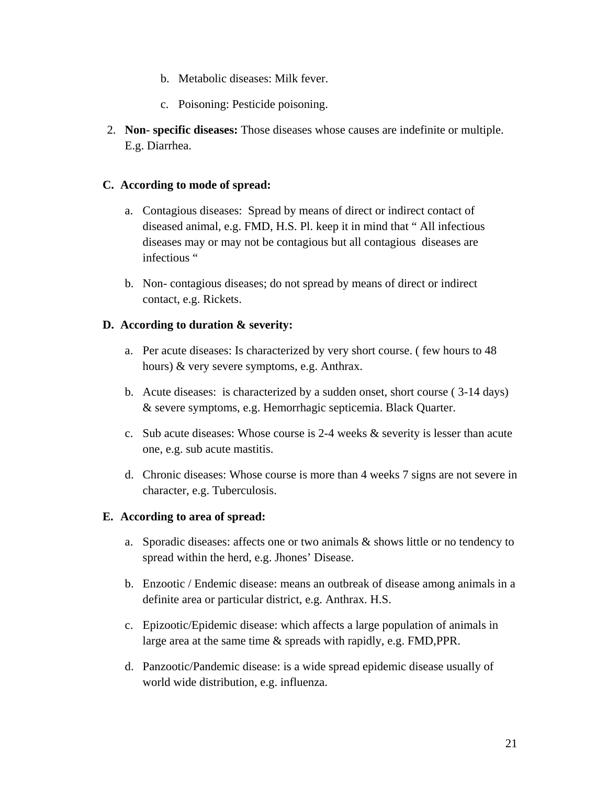- b. Metabolic diseases: Milk fever.
- c. Poisoning: Pesticide poisoning.
- 2. **Non- specific diseases:** Those diseases whose causes are indefinite or multiple. E.g. Diarrhea.

### **C. According to mode of spread:**

- a. Contagious diseases: Spread by means of direct or indirect contact of diseased animal, e.g. FMD, H.S. Pl. keep it in mind that " All infectious diseases may or may not be contagious but all contagious diseases are infectious "
- b. Non- contagious diseases; do not spread by means of direct or indirect contact, e.g. Rickets.

### **D. According to duration & severity:**

- a. Per acute diseases: Is characterized by very short course. ( few hours to 48 hours) & very severe symptoms, e.g. Anthrax.
- b. Acute diseases: is characterized by a sudden onset, short course ( 3-14 days) & severe symptoms, e.g. Hemorrhagic septicemia. Black Quarter.
- c. Sub acute diseases: Whose course is 2-4 weeks & severity is lesser than acute one, e.g. sub acute mastitis.
- d. Chronic diseases: Whose course is more than 4 weeks 7 signs are not severe in character, e.g. Tuberculosis.

### **E. According to area of spread:**

- a. Sporadic diseases: affects one or two animals & shows little or no tendency to spread within the herd, e.g. Jhones' Disease.
- b. Enzootic / Endemic disease: means an outbreak of disease among animals in a definite area or particular district, e.g. Anthrax. H.S.
- c. Epizootic/Epidemic disease: which affects a large population of animals in large area at the same time & spreads with rapidly, e.g. FMD,PPR.
- d. Panzootic/Pandemic disease: is a wide spread epidemic disease usually of world wide distribution, e.g. influenza.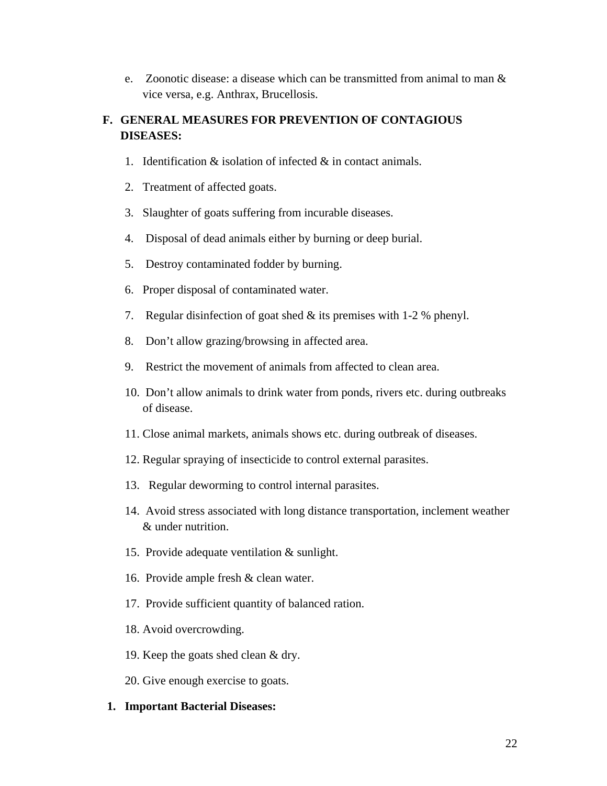e. Zoonotic disease: a disease which can be transmitted from animal to man & vice versa, e.g. Anthrax, Brucellosis.

# **F. GENERAL MEASURES FOR PREVENTION OF CONTAGIOUS DISEASES:**

- 1. Identification & isolation of infected & in contact animals.
- 2. Treatment of affected goats.
- 3. Slaughter of goats suffering from incurable diseases.
- 4. Disposal of dead animals either by burning or deep burial.
- 5. Destroy contaminated fodder by burning.
- 6. Proper disposal of contaminated water.
- 7. Regular disinfection of goat shed & its premises with 1-2 % phenyl.
- 8. Don't allow grazing/browsing in affected area.
- 9. Restrict the movement of animals from affected to clean area.
- 10. Don't allow animals to drink water from ponds, rivers etc. during outbreaks of disease.
- 11. Close animal markets, animals shows etc. during outbreak of diseases.
- 12. Regular spraying of insecticide to control external parasites.
- 13. Regular deworming to control internal parasites.
- 14. Avoid stress associated with long distance transportation, inclement weather & under nutrition.
- 15. Provide adequate ventilation & sunlight.
- 16. Provide ample fresh & clean water.
- 17. Provide sufficient quantity of balanced ration.
- 18. Avoid overcrowding.
- 19. Keep the goats shed clean & dry.
- 20. Give enough exercise to goats.

### **1. Important Bacterial Diseases:**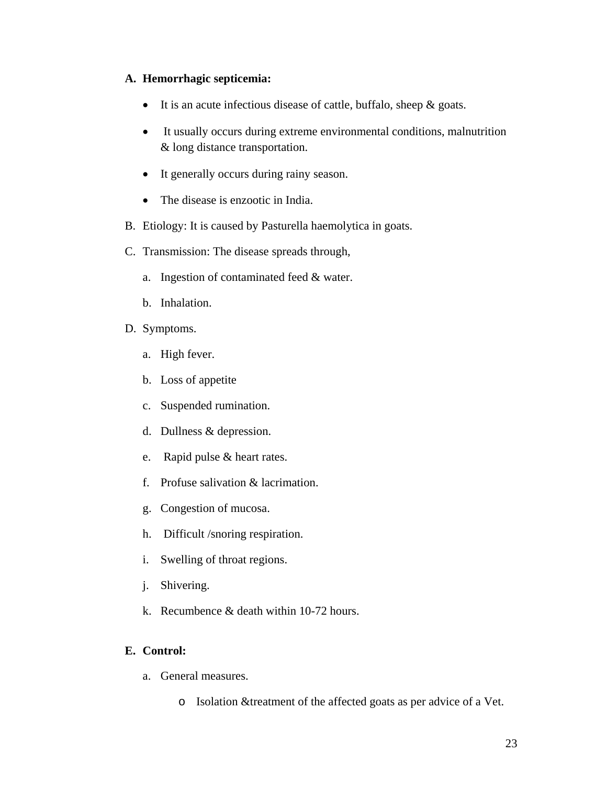### **A. Hemorrhagic septicemia:**

- It is an acute infectious disease of cattle, buffalo, sheep & goats.
- It usually occurs during extreme environmental conditions, malnutrition & long distance transportation.
- It generally occurs during rainy season.
- The disease is enzootic in India.
- B. Etiology: It is caused by Pasturella haemolytica in goats.
- C. Transmission: The disease spreads through,
	- a. Ingestion of contaminated feed & water.
	- b. Inhalation.
- D. Symptoms.
	- a. High fever.
	- b. Loss of appetite
	- c. Suspended rumination.
	- d. Dullness & depression.
	- e. Rapid pulse & heart rates.
	- f. Profuse salivation & lacrimation.
	- g. Congestion of mucosa.
	- h. Difficult /snoring respiration.
	- i. Swelling of throat regions.
	- j. Shivering.
	- k. Recumbence & death within 10-72 hours.

## **E. Control:**

- a. General measures.
	- o Isolation &treatment of the affected goats as per advice of a Vet.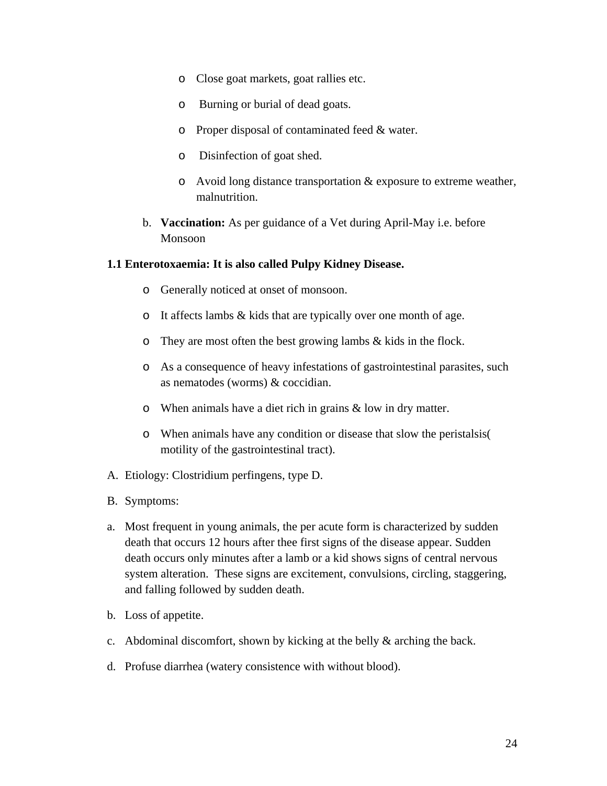- o Close goat markets, goat rallies etc.
- o Burning or burial of dead goats.
- o Proper disposal of contaminated feed & water.
- o Disinfection of goat shed.
- o Avoid long distance transportation & exposure to extreme weather, malnutrition.
- b. **Vaccination:** As per guidance of a Vet during April-May i.e. before Monsoon

### **1.1 Enterotoxaemia: It is also called Pulpy Kidney Disease.**

- o Generally noticed at onset of monsoon.
- o It affects lambs & kids that are typically over one month of age.
- o They are most often the best growing lambs & kids in the flock.
- o As a consequence of heavy infestations of gastrointestinal parasites, such as nematodes (worms) & coccidian.
- o When animals have a diet rich in grains & low in dry matter.
- o When animals have any condition or disease that slow the peristalsis( motility of the gastrointestinal tract).
- A. Etiology: Clostridium perfingens, type D.
- B. Symptoms:
- a. Most frequent in young animals, the per acute form is characterized by sudden death that occurs 12 hours after thee first signs of the disease appear. Sudden death occurs only minutes after a lamb or a kid shows signs of central nervous system alteration. These signs are excitement, convulsions, circling, staggering, and falling followed by sudden death.
- b. Loss of appetite.
- c. Abdominal discomfort, shown by kicking at the belly & arching the back.
- d. Profuse diarrhea (watery consistence with without blood).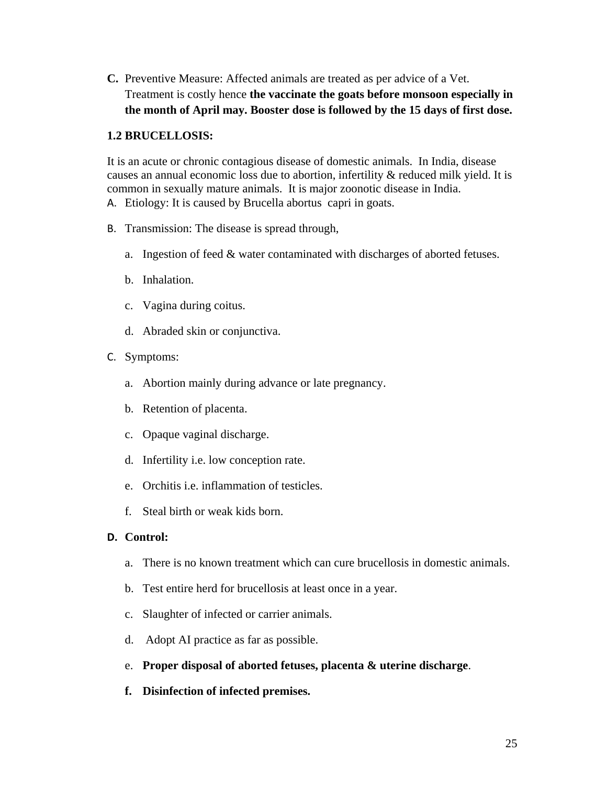**C.** Preventive Measure: Affected animals are treated as per advice of a Vet. Treatment is costly hence **the vaccinate the goats before monsoon especially in the month of April may. Booster dose is followed by the 15 days of first dose.** 

### **1.2 BRUCELLOSIS:**

It is an acute or chronic contagious disease of domestic animals. In India, disease causes an annual economic loss due to abortion, infertility & reduced milk yield. It is common in sexually mature animals. It is major zoonotic disease in India.

- A. Etiology: It is caused by Brucella abortus capri in goats.
- B. Transmission: The disease is spread through,
	- a. Ingestion of feed & water contaminated with discharges of aborted fetuses.
	- b. Inhalation.
	- c. Vagina during coitus.
	- d. Abraded skin or conjunctiva.
- C. Symptoms:
	- a. Abortion mainly during advance or late pregnancy.
	- b. Retention of placenta.
	- c. Opaque vaginal discharge.
	- d. Infertility i.e. low conception rate.
	- e. Orchitis i.e. inflammation of testicles.
	- f. Steal birth or weak kids born.

## **D. Control:**

- a. There is no known treatment which can cure brucellosis in domestic animals.
- b. Test entire herd for brucellosis at least once in a year.
- c. Slaughter of infected or carrier animals.
- d. Adopt AI practice as far as possible.
- e. **Proper disposal of aborted fetuses, placenta & uterine discharge**.
- **f. Disinfection of infected premises.**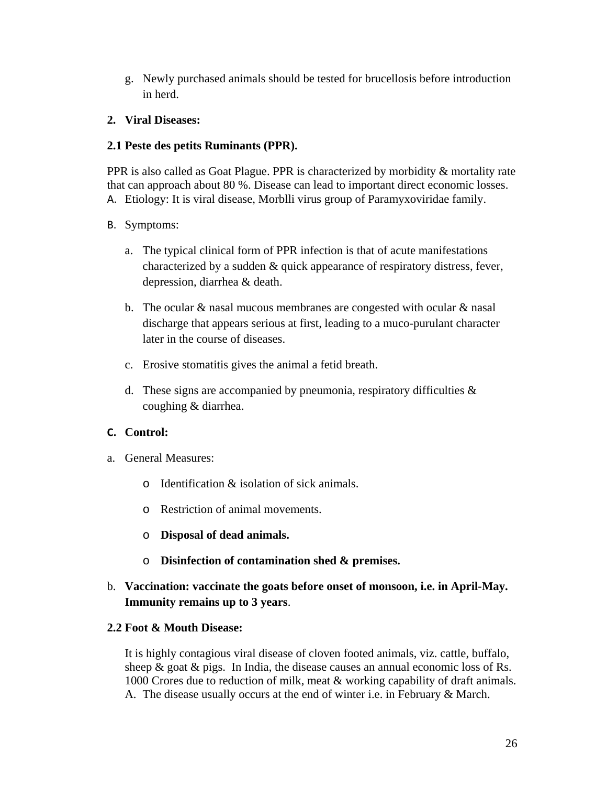g. Newly purchased animals should be tested for brucellosis before introduction in herd.

## **2. Viral Diseases:**

## **2.1 Peste des petits Ruminants (PPR).**

PPR is also called as Goat Plague. PPR is characterized by morbidity & mortality rate that can approach about 80 %. Disease can lead to important direct economic losses. A. Etiology: It is viral disease, Morblli virus group of Paramyxoviridae family.

## B. Symptoms:

- a. The typical clinical form of PPR infection is that of acute manifestations characterized by a sudden & quick appearance of respiratory distress, fever, depression, diarrhea & death.
- b. The ocular  $&$  nasal mucous membranes are congested with ocular  $&$  nasal discharge that appears serious at first, leading to a muco-purulant character later in the course of diseases.
- c. Erosive stomatitis gives the animal a fetid breath.
- d. These signs are accompanied by pneumonia, respiratory difficulties  $\&$ coughing & diarrhea.

## **C. Control:**

- a. General Measures:
	- $\circ$  Identification & isolation of sick animals.
	- o Restriction of animal movements.
	- o **Disposal of dead animals.**
	- o **Disinfection of contamination shed & premises.**

# b. **Vaccination: vaccinate the goats before onset of monsoon, i.e. in April-May. Immunity remains up to 3 years**.

## **2.2 Foot & Mouth Disease:**

It is highly contagious viral disease of cloven footed animals, viz. cattle, buffalo, sheep  $\&$  goat  $\&$  pigs. In India, the disease causes an annual economic loss of Rs. 1000 Crores due to reduction of milk, meat & working capability of draft animals. A. The disease usually occurs at the end of winter i.e. in February & March.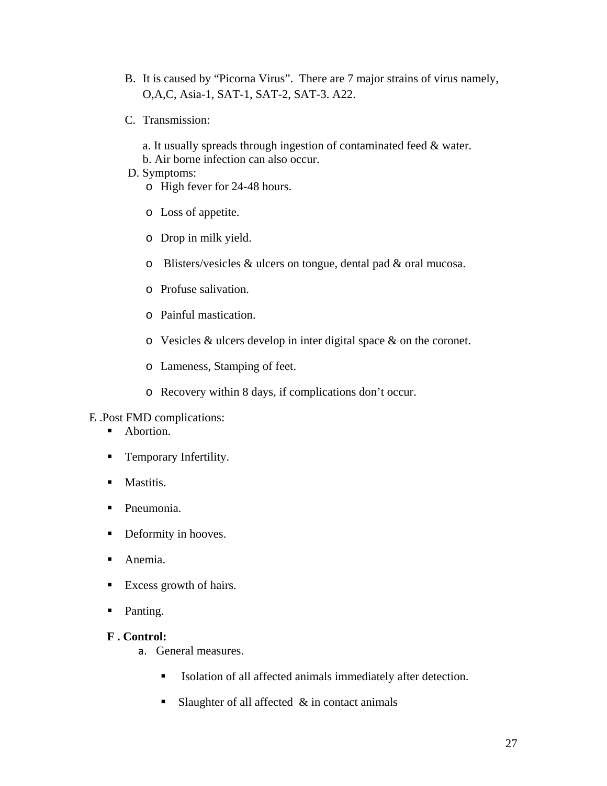- B. It is caused by "Picorna Virus". There are 7 major strains of virus namely, O,A,C, Asia-1, SAT-1, SAT-2, SAT-3. A22.
- C. Transmission:
	- a. It usually spreads through ingestion of contaminated feed & water.
	- b. Air borne infection can also occur.
- D. Symptoms:

o High fever for 24-48 hours.

- o Loss of appetite.
- o Drop in milk yield.
- o Blisters/vesicles & ulcers on tongue, dental pad & oral mucosa.
- o Profuse salivation.
- o Painful mastication.
- o Vesicles & ulcers develop in inter digital space & on the coronet.
- o Lameness, Stamping of feet.
- o Recovery within 8 days, if complications don't occur.

E .Post FMD complications:

- Abortion.
- **Temporary Infertility.**
- **Mastitis.**
- Pneumonia.
- Deformity in hooves.
- Anemia.
- Excess growth of hairs.
- Panting.

### **F . Control:**

- a. General measures.
	- Isolation of all affected animals immediately after detection.
	- Slaughter of all affected  $\&$  in contact animals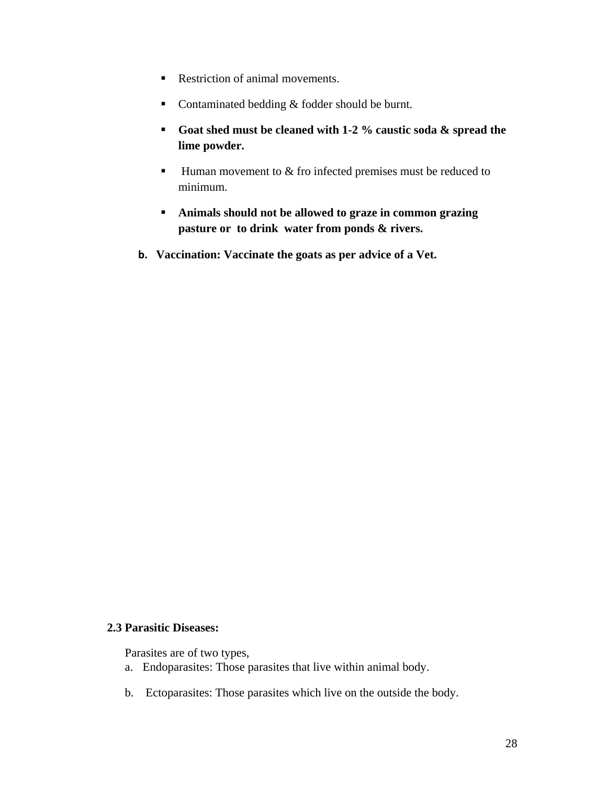- Restriction of animal movements.
- Contaminated bedding  $&$  fodder should be burnt.
- **Goat shed must be cleaned with 1-2 % caustic soda & spread the lime powder.**
- $\blacksquare$  Human movement to  $\&$  fro infected premises must be reduced to minimum.
- **Animals should not be allowed to graze in common grazing pasture or to drink water from ponds & rivers.**
- **b. Vaccination: Vaccinate the goats as per advice of a Vet.**

### **2.3 Parasitic Diseases:**

Parasites are of two types,

- a. Endoparasites: Those parasites that live within animal body.
- b. Ectoparasites: Those parasites which live on the outside the body.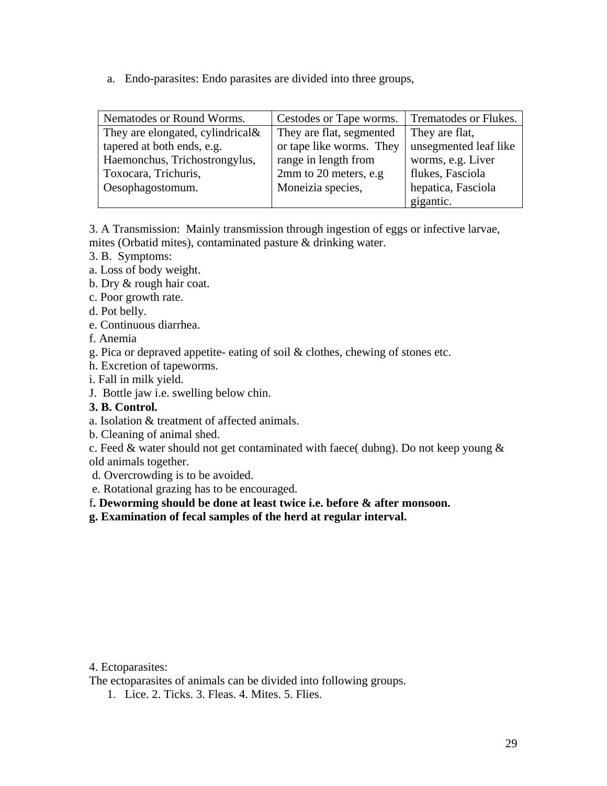a. Endo-parasites: Endo parasites are divided into three groups,

| Nematodes or Round Worms.            | Cestodes or Tape worms.  | Trematodes or Flukes. |
|--------------------------------------|--------------------------|-----------------------|
| They are elongated, cylindrical $\&$ | They are flat, segmented | They are flat,        |
| tapered at both ends, e.g.           | or tape like worms. They | unsegmented leaf like |
| Haemonchus, Trichostrongylus,        | range in length from     | worms, e.g. Liver     |
| Toxocara, Trichuris,                 | 2mm to 20 meters, e.g.   | flukes, Fasciola      |
| Oesophagostomum.                     | Moneizia species,        | hepatica, Fasciola    |
|                                      |                          | gigantic.             |

3. A Transmission: Mainly transmission through ingestion of eggs or infective larvae, mites (Orbatid mites), contaminated pasture & drinking water.

- 3. B. Symptoms:
- a. Loss of body weight.
- b. Dry & rough hair coat.
- c. Poor growth rate.
- d. Pot belly.
- e. Continuous diarrhea.
- f. Anemia
- g. Pica or depraved appetite- eating of soil & clothes, chewing of stones etc.
- h. Excretion of tapeworms.
- i. Fall in milk yield.
- J. Bottle jaw i.e. swelling below chin.
- **3. B. Control.**
- a. Isolation & treatment of affected animals.
- b. Cleaning of animal shed.
- c. Feed  $\&$  water should not get contaminated with faece( dubng). Do not keep young  $\&$ old animals together.
- d. Overcrowding is to be avoided.
- e. Rotational grazing has to be encouraged.
- f**. Deworming should be done at least twice i.e. before & after monsoon.**
- **g. Examination of fecal samples of the herd at regular interval.**

#### 4. Ectoparasites:

The ectoparasites of animals can be divided into following groups.

1. Lice. 2. Ticks. 3. Fleas. 4. Mites. 5. Flies.